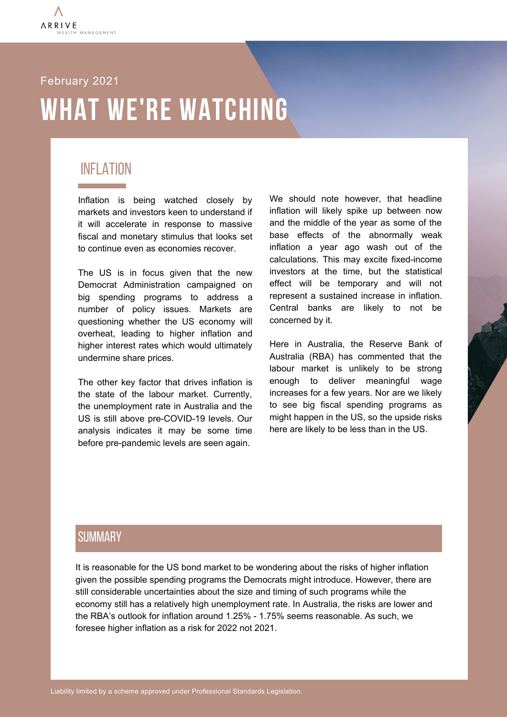

## **WHAT WE'RE WATCHING** February 2021

#### INFLATION

Inflation is being watched closely by markets and investors keen to understand if it will accelerate in response to massive fiscal and monetary stimulus that looks set to continue even as economies recover.

The US is in focus given that the new Democrat Administration campaigned on big spending programs to address a number of policy issues. Markets are questioning whether the US economy will overheat, leading to higher inflation and higher interest rates which would ultimately undermine share prices.

The other key factor that drives inflation is the state of the labour market. Currently, the unemployment rate in Australia and the US is still above pre-COVID-19 levels. Our analysis indicates it may be some time before pre-pandemic levels are seen again.

We should note however, that headline inflation will likely spike up between now and the middle of the year as some of the base effects of the abnormally weak inflation a year ago wash out of the calculations. This may excite fixed-income investors at the time, but the statistical effect will be temporary and will not represent a sustained increase in inflation. Central banks are likely to not be concerned by it.

Here in Australia, the Reserve Bank of Australia (RBA) has commented that the labour market is unlikely to be strong enough to deliver meaningful wage increases for a few years. Nor are we likely to see big fiscal spending programs as might happen in the US, so the upside risks here are likely to be less than in the US.

#### **SUMMARY**

It is reasonable for the US bond market to be wondering about the risks of higher inflation given the possible spending programs the Democrats might introduce. However, there are still considerable uncertainties about the size and timing of such programs while the economy still has a relatively high unemployment rate. In Australia, the risks are lower and the RBA's outlook for inflation around 1.25% - 1.75% seems reasonable. As such, we foresee higher inflation as a risk for 2022 not 2021.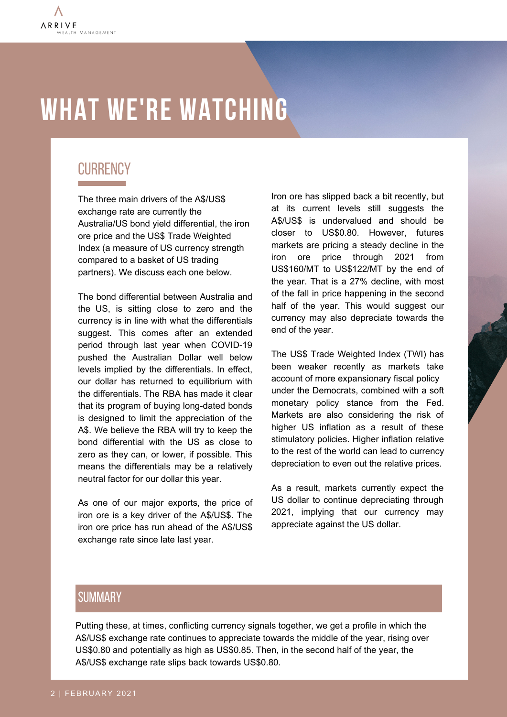# **WHAT WE'RE WATCHING**

### **CURRENCY**

The three main drivers of the A\$/US\$ exchange rate are currently the Australia/US bond yield differential, the iron ore price and the US\$ Trade Weighted Index (a measure of US currency strength compared to a basket of US trading partners). We discuss each one below.

The bond differential between Australia and the US, is sitting close to zero and the currency is in line with what the differentials suggest. This comes after an extended period through last year when COVID-19 pushed the Australian Dollar well below levels implied by the differentials. In effect, our dollar has returned to equilibrium with the differentials. The RBA has made it clear that its program of buying long-dated bonds is designed to limit the appreciation of the A\$. We believe the RBA will try to keep the bond differential with the US as close to zero as they can, or lower, if possible. This means the differentials may be a relatively neutral factor for our dollar this year.

As one of our major exports, the price of iron ore is a key driver of the A\$/US\$. The iron ore price has run ahead of the A\$/US\$ exchange rate since late last year.

Iron ore has slipped back a bit recently, but at its current levels still suggests the A\$/US\$ is undervalued and should be closer to US\$0.80. However, futures markets are pricing a steady decline in the iron ore price through 2021 from US\$160/MT to US\$122/MT by the end of the year. That is a 27% decline, with most of the fall in price happening in the second half of the year. This would suggest our currency may also depreciate towards the end of the year.

The US\$ Trade Weighted Index (TWI) has been weaker recently as markets take account of more expansionary fiscal policy under the Democrats, combined with a soft monetary policy stance from the Fed. Markets are also considering the risk of higher US inflation as a result of these stimulatory policies. Higher inflation relative to the rest of the world can lead to currency depreciation to even out the relative prices.

As a result, markets currently expect the US dollar to continue depreciating through 2021, implying that our currency may appreciate against the US dollar.

#### **SUMMARY**

Putting these, at times, conflicting currency signals together, we get a profile in which the A\$/US\$ exchange rate continues to appreciate towards the middle of the year, rising over US\$0.80 and potentially as high as US\$0.85. Then, in the second half of the year, the A\$/US\$ exchange rate slips back towards US\$0.80.